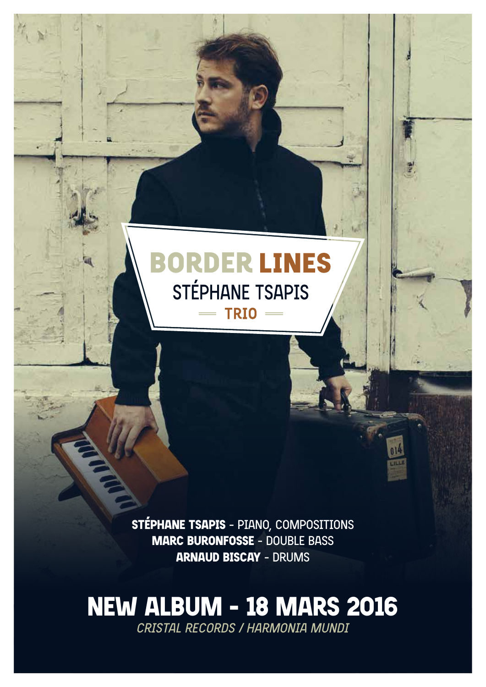# **BORDER LINES** STÉPHANE TSAPIS  $TRIO =$

醋

STÉPHANE TSAPIS - PIANO, COMPOSITIONS MARC BURONFOSSE - DOUBLE BASS ARNAUD BISCAY - DRUMS

# NEW ALBUM - 18 MARS 2016

*CRISTAL RECORDS / HARMONIA MUNDI*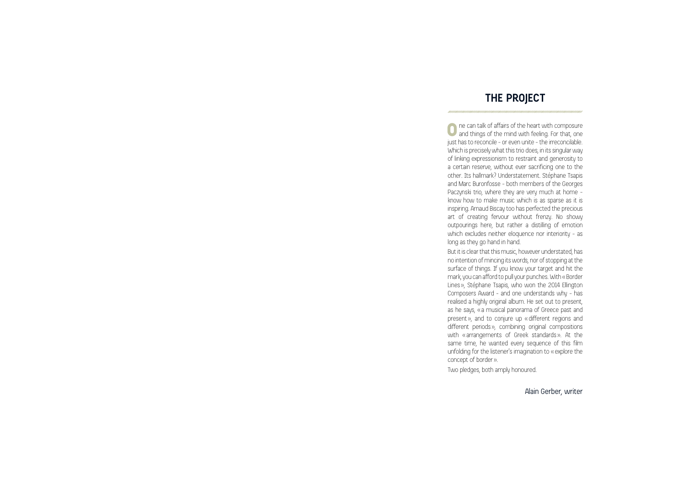One can talk of affairs of the heart with composure and things of the mind with feeling. For that, one just has to reconcile - or even unite - the irreconcilable. Which is precisely what this trio does, in its singular way of linking expressionism to restraint and generosity to a certain reserve, without ever sacrificing one to the other. Its hallmark? Understatement. Stéphane Tsapis and Marc Buronfosse - both members of the Georges Paczynski trio, where they are very much at home know how to make music which is as sparse as it is inspiring. Arnaud Biscay too has perfected the precious art of creating fervour without frenzy. No showy outpourings here, but rather a distilling of emotion which excludes neither eloquence nor interiority - as long as they go hand in hand. But it is clear that this music, however understated, has no intention of mincing its words, nor of stopping at the surface of things. If you know your target and hit the mark, you can afford to pull your punches. With «Border Lines», Stéphane Tsapis, who won the 2014 Ellington Composers Award – and one understands why - has realised a highly original album. He set out to present, as he says, «a musical panorama of Greece past and present», and to conjure up «different regions and different periods», combining original compositions with «arrangements of Greek standards». At the same time, he wanted every sequence of this film unfolding for the listener's imagination to «explore the concept of border».

Two pledges, both amply honoured.

# **THE PROJECT**

#### Alain Gerber, writer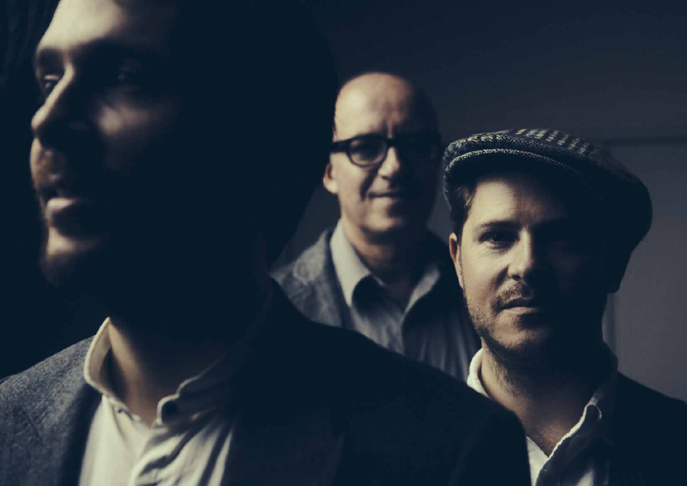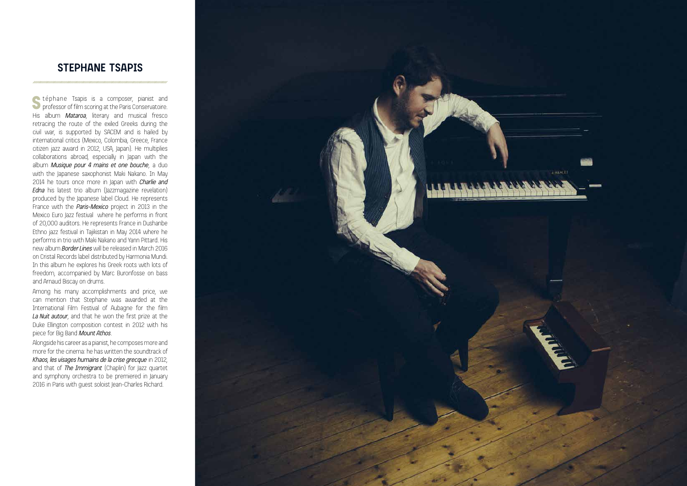Stéphane Tsapis is a composer, pianist and professor of film scoring at the Paris Conservatoire. His album *Mataroa*, literary and musical fresco retracing the route of the exiled Greeks during the civil war, is supported by SACEM and is hailed by international critics (Mexico, Colombia, Greece, France citizen jazz award in 2012, USA, Japan). He multiplies collaborations abroad, especially in Japan with the album *Musique pour 4 mains et one bouche*, a duo with the Japanese saxophonist Maki Nakano. In May 2014 he tours once more in Japan with *Charlie and Edna* his latest trio album (Jazzmagazine revelation) produced by the Japanese label Cloud. He represents France with the *Paris-Mexico* project in 2013 in the Mexico Euro Jazz festival where he performs in front of 20,000 auditors. He represents France in Dushanbe Ethno jazz festival in Tajikistan in May 2014 where he performs in trio with Maki Nakano and Yann Pittard. His new album *Border Lines* will be released in March 2016 on Cristal Records label distributed by Harmonia Mundi. In this album he explores his Greek roots with lots of freedom, accompanied by Marc Buronfosse on bass and Arnaud Biscay on drums.

Among his many accomplishments and price, we can mention that Stephane was awarded at the International Film Festival of Aubagne for the film *La Nuit autour*, and that he won the first prize at the Duke Ellington composition contest in 2012 with his piece for Big Band *Mount Athos*.

Alongside his career as a pianist, he composes more and more for the cinema: he has written the soundtrack of *Khaos, les visages humains de la crise grecque* in 2012, and that of *The Immigrant* (Chaplin) for Jazz quartet and symphony orchestra to be premiered in January 2016 in Paris with guest soloist Jean-Charles Richard.



## **STEPHANE TSAPIS**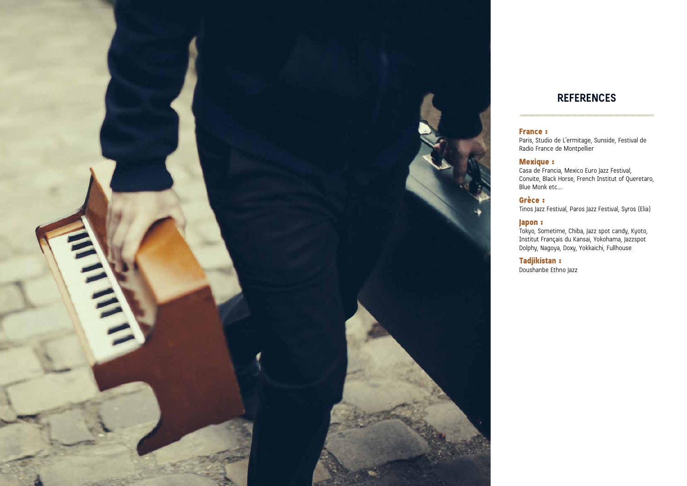France :

Paris, Studio de L'ermitage, Sunside, Festival de Radio France de Montpellier

### Mexique :

Casa de Francia, Mexico Euro Jazz Festival, Convite, Black Horse, French Institut of Queretaro, Blue Monk etc...

## Grèce :

Tinos Jazz Festival, Paros Jazz Festival, Syros (Elia)

#### Japon :

Tokyo, Sometime, Chiba, Jazz spot candy, Kyoto, Institut Français du Kansai, Yokohama, Jazzspot Dolphy, Nagoya, Doxy, Yokkaichi, Fullhouse

#### Tadjikistan :

Doushanbe Ethno Jazz



# **REFERENCES**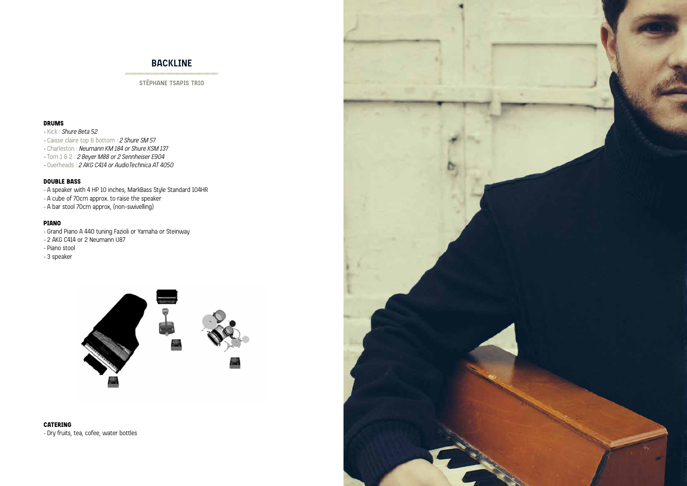#### DRUMS

- Kick : *Shure Beta 52*
- Caisse claire top & bottom : *2 Shure SM 5*7
- Charleston : *Neumann KM 184 or Shure KSM 13*7
- Tom 1 & 2 : *2 Beyer M88 or 2 Sennheiser E904*
- Overheads : *2 AKG C414 or AudioTechnica AT 4050*

#### DOUBLE BASS

- A speaker with 4 HP 10 inches, MarkBass Style Standard 104HR
- A cube of 70cm approx. to raise the speaker
- A bar stool 70cm approx, (non-swivelling)

#### PIANO

- Grand Piano A 440 tuning Fazioli or Yamaha or Steinway
- 2 AKG C414 or 2 Neumann U87
- Piano stool
- 3 speaker



CATERING • Dry fruits, tea, cofee, water bottles



## **BACKLINE**

**STÉPHANE TSAPIS TRIO**